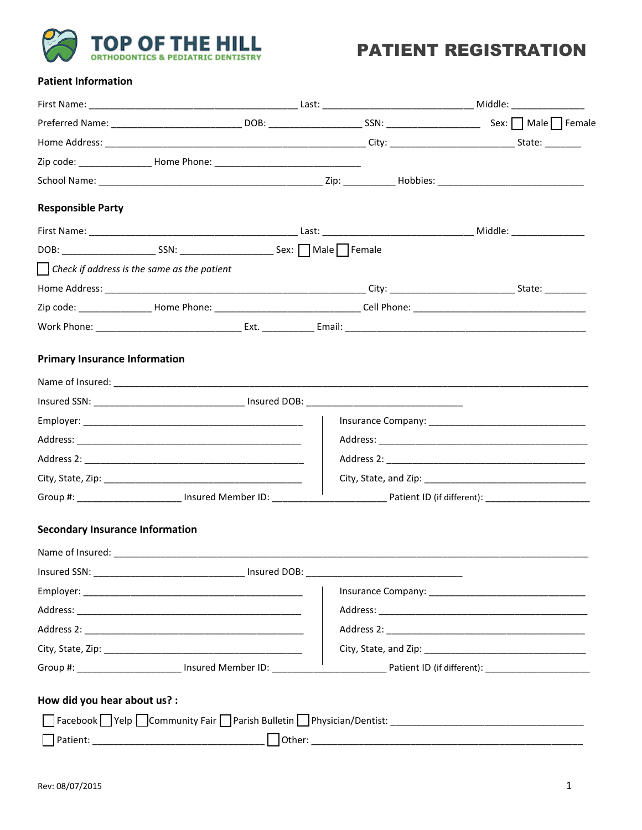

## **PATIENT REGISTRATION**

#### **Patient Information**

|                                                             | Zip code: _______________________ Home Phone: __________________________________ |  |  |
|-------------------------------------------------------------|----------------------------------------------------------------------------------|--|--|
|                                                             |                                                                                  |  |  |
| <b>Responsible Party</b>                                    |                                                                                  |  |  |
|                                                             |                                                                                  |  |  |
|                                                             |                                                                                  |  |  |
| $\vert$ $\vert$ Check if address is the same as the patient |                                                                                  |  |  |
|                                                             |                                                                                  |  |  |
|                                                             |                                                                                  |  |  |
|                                                             |                                                                                  |  |  |
| <b>Primary Insurance Information</b>                        |                                                                                  |  |  |
|                                                             |                                                                                  |  |  |
|                                                             |                                                                                  |  |  |
|                                                             |                                                                                  |  |  |
|                                                             |                                                                                  |  |  |
|                                                             |                                                                                  |  |  |
|                                                             |                                                                                  |  |  |
|                                                             |                                                                                  |  |  |
| <b>Secondary Insurance Information</b>                      |                                                                                  |  |  |
|                                                             |                                                                                  |  |  |
|                                                             |                                                                                  |  |  |
|                                                             |                                                                                  |  |  |
|                                                             |                                                                                  |  |  |
|                                                             |                                                                                  |  |  |
|                                                             |                                                                                  |  |  |
|                                                             |                                                                                  |  |  |
|                                                             |                                                                                  |  |  |
| How did you hear about us? :                                |                                                                                  |  |  |
|                                                             |                                                                                  |  |  |
|                                                             |                                                                                  |  |  |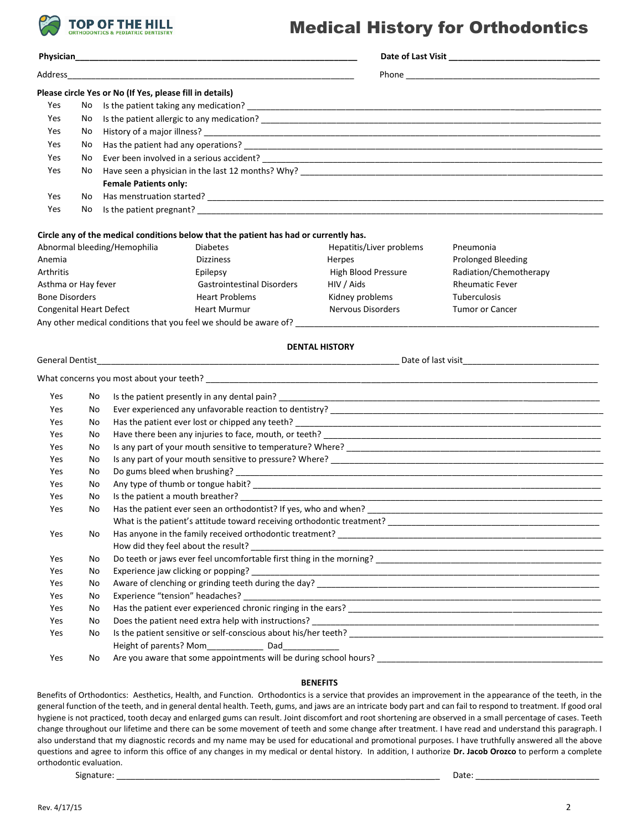

#### Medical History for Orthodontics

| Physician <b>Executive Service Service Service Service Service Service Service Service Service Service Service Service Service Service Service Service Service Service Service Service Service Service Service Service Service S</b> |     |                                                          |                                                                                       |                          |                                                                                                                                                                                                                                                                                                                               |  |  |
|--------------------------------------------------------------------------------------------------------------------------------------------------------------------------------------------------------------------------------------|-----|----------------------------------------------------------|---------------------------------------------------------------------------------------|--------------------------|-------------------------------------------------------------------------------------------------------------------------------------------------------------------------------------------------------------------------------------------------------------------------------------------------------------------------------|--|--|
| Address                                                                                                                                                                                                                              |     |                                                          |                                                                                       |                          |                                                                                                                                                                                                                                                                                                                               |  |  |
|                                                                                                                                                                                                                                      |     | Please circle Yes or No (If Yes, please fill in details) |                                                                                       |                          |                                                                                                                                                                                                                                                                                                                               |  |  |
| Yes                                                                                                                                                                                                                                  | No. |                                                          |                                                                                       |                          |                                                                                                                                                                                                                                                                                                                               |  |  |
| Yes                                                                                                                                                                                                                                  | No  |                                                          |                                                                                       |                          |                                                                                                                                                                                                                                                                                                                               |  |  |
| Yes                                                                                                                                                                                                                                  | No  |                                                          |                                                                                       |                          |                                                                                                                                                                                                                                                                                                                               |  |  |
| Yes                                                                                                                                                                                                                                  | No  |                                                          |                                                                                       |                          |                                                                                                                                                                                                                                                                                                                               |  |  |
| Yes                                                                                                                                                                                                                                  | No  |                                                          |                                                                                       |                          |                                                                                                                                                                                                                                                                                                                               |  |  |
| Yes                                                                                                                                                                                                                                  | No  |                                                          |                                                                                       |                          |                                                                                                                                                                                                                                                                                                                               |  |  |
|                                                                                                                                                                                                                                      |     | <b>Female Patients only:</b>                             |                                                                                       |                          |                                                                                                                                                                                                                                                                                                                               |  |  |
| Yes                                                                                                                                                                                                                                  | No. |                                                          |                                                                                       |                          |                                                                                                                                                                                                                                                                                                                               |  |  |
| Yes                                                                                                                                                                                                                                  | No  |                                                          |                                                                                       |                          |                                                                                                                                                                                                                                                                                                                               |  |  |
|                                                                                                                                                                                                                                      |     |                                                          | Circle any of the medical conditions below that the patient has had or currently has. |                          |                                                                                                                                                                                                                                                                                                                               |  |  |
|                                                                                                                                                                                                                                      |     | Abnormal bleeding/Hemophilia                             | <b>Diabetes</b>                                                                       | Hepatitis/Liver problems | Pneumonia                                                                                                                                                                                                                                                                                                                     |  |  |
| Anemia                                                                                                                                                                                                                               |     |                                                          | <b>Dizziness</b>                                                                      | Herpes                   | <b>Prolonged Bleeding</b>                                                                                                                                                                                                                                                                                                     |  |  |
| Arthritis                                                                                                                                                                                                                            |     |                                                          | Epilepsy                                                                              | High Blood Pressure      | Radiation/Chemotherapy                                                                                                                                                                                                                                                                                                        |  |  |
| Asthma or Hay fever                                                                                                                                                                                                                  |     |                                                          | <b>Gastrointestinal Disorders</b>                                                     | HIV / Aids               | <b>Rheumatic Fever</b>                                                                                                                                                                                                                                                                                                        |  |  |
| <b>Bone Disorders</b>                                                                                                                                                                                                                |     |                                                          | <b>Heart Problems</b>                                                                 | Kidney problems          | Tuberculosis                                                                                                                                                                                                                                                                                                                  |  |  |
| <b>Congenital Heart Defect</b>                                                                                                                                                                                                       |     |                                                          | <b>Heart Murmur</b>                                                                   | Nervous Disorders        | <b>Tumor or Cancer</b>                                                                                                                                                                                                                                                                                                        |  |  |
|                                                                                                                                                                                                                                      |     |                                                          |                                                                                       |                          |                                                                                                                                                                                                                                                                                                                               |  |  |
|                                                                                                                                                                                                                                      |     |                                                          |                                                                                       |                          |                                                                                                                                                                                                                                                                                                                               |  |  |
| <b>General Dentist</b>                                                                                                                                                                                                               |     |                                                          |                                                                                       | <b>DENTAL HISTORY</b>    |                                                                                                                                                                                                                                                                                                                               |  |  |
|                                                                                                                                                                                                                                      |     |                                                          |                                                                                       |                          |                                                                                                                                                                                                                                                                                                                               |  |  |
|                                                                                                                                                                                                                                      |     |                                                          |                                                                                       |                          |                                                                                                                                                                                                                                                                                                                               |  |  |
| Yes                                                                                                                                                                                                                                  | No  |                                                          |                                                                                       |                          |                                                                                                                                                                                                                                                                                                                               |  |  |
| Yes                                                                                                                                                                                                                                  | No  |                                                          |                                                                                       |                          |                                                                                                                                                                                                                                                                                                                               |  |  |
| Yes                                                                                                                                                                                                                                  | No  |                                                          |                                                                                       |                          |                                                                                                                                                                                                                                                                                                                               |  |  |
| Yes                                                                                                                                                                                                                                  | No  |                                                          |                                                                                       |                          |                                                                                                                                                                                                                                                                                                                               |  |  |
| Yes                                                                                                                                                                                                                                  | No  |                                                          |                                                                                       |                          |                                                                                                                                                                                                                                                                                                                               |  |  |
| Yes                                                                                                                                                                                                                                  | No  |                                                          |                                                                                       |                          |                                                                                                                                                                                                                                                                                                                               |  |  |
| Yes                                                                                                                                                                                                                                  | No  | Do gums bleed when brushing?                             |                                                                                       |                          |                                                                                                                                                                                                                                                                                                                               |  |  |
| Yes                                                                                                                                                                                                                                  | No  | Is the patient a mouth breather?                         |                                                                                       |                          |                                                                                                                                                                                                                                                                                                                               |  |  |
| Yes<br>Yes                                                                                                                                                                                                                           | No  |                                                          |                                                                                       |                          |                                                                                                                                                                                                                                                                                                                               |  |  |
|                                                                                                                                                                                                                                      | No  |                                                          |                                                                                       |                          |                                                                                                                                                                                                                                                                                                                               |  |  |
| Yes<br>No                                                                                                                                                                                                                            |     |                                                          |                                                                                       |                          |                                                                                                                                                                                                                                                                                                                               |  |  |
|                                                                                                                                                                                                                                      |     | How did they feel about the result?                      |                                                                                       |                          |                                                                                                                                                                                                                                                                                                                               |  |  |
| Yes                                                                                                                                                                                                                                  | No  |                                                          |                                                                                       |                          |                                                                                                                                                                                                                                                                                                                               |  |  |
| Yes                                                                                                                                                                                                                                  | No  |                                                          |                                                                                       |                          |                                                                                                                                                                                                                                                                                                                               |  |  |
| Yes                                                                                                                                                                                                                                  | No  |                                                          |                                                                                       |                          |                                                                                                                                                                                                                                                                                                                               |  |  |
| Yes                                                                                                                                                                                                                                  | No  |                                                          |                                                                                       |                          |                                                                                                                                                                                                                                                                                                                               |  |  |
| Yes                                                                                                                                                                                                                                  | No  |                                                          |                                                                                       |                          |                                                                                                                                                                                                                                                                                                                               |  |  |
| Yes                                                                                                                                                                                                                                  | No  |                                                          |                                                                                       |                          |                                                                                                                                                                                                                                                                                                                               |  |  |
| Yes                                                                                                                                                                                                                                  | No  |                                                          |                                                                                       |                          |                                                                                                                                                                                                                                                                                                                               |  |  |
|                                                                                                                                                                                                                                      |     |                                                          |                                                                                       |                          |                                                                                                                                                                                                                                                                                                                               |  |  |
| Yes                                                                                                                                                                                                                                  | No  |                                                          |                                                                                       |                          |                                                                                                                                                                                                                                                                                                                               |  |  |
|                                                                                                                                                                                                                                      |     |                                                          |                                                                                       |                          |                                                                                                                                                                                                                                                                                                                               |  |  |
|                                                                                                                                                                                                                                      |     |                                                          |                                                                                       | <b>BENEFITS</b>          |                                                                                                                                                                                                                                                                                                                               |  |  |
|                                                                                                                                                                                                                                      |     |                                                          |                                                                                       |                          |                                                                                                                                                                                                                                                                                                                               |  |  |
|                                                                                                                                                                                                                                      |     |                                                          |                                                                                       |                          | Benefits of Orthodontics: Aesthetics, Health, and Function. Orthodontics is a service that provides an improvement in the appearance of the teeth, in the<br>general function of the teeth, and in general dental health. Teeth, gums, and jaws are an intricate body part and can fail to respond to treatment. If good oral |  |  |
|                                                                                                                                                                                                                                      |     |                                                          |                                                                                       |                          | hygiene is not practiced, tooth decay and enlarged gums can result. Joint discomfort and root shortening are observed in a small percentage of cases. Teeth                                                                                                                                                                   |  |  |

orthodontic evaluation.

Signature: \_\_\_\_\_\_\_\_\_\_\_\_\_\_\_\_\_\_\_\_\_\_\_\_\_\_\_\_\_\_\_\_\_\_\_\_\_\_\_\_\_\_\_\_\_\_\_\_\_\_\_\_\_\_\_\_\_\_\_\_\_\_\_\_\_\_\_ Date: \_\_\_\_\_\_\_\_\_\_\_\_\_\_\_\_\_\_\_\_\_\_\_\_\_\_